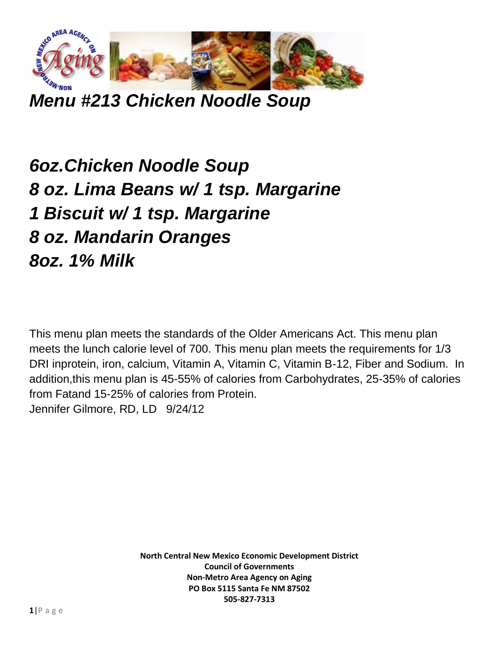

*Menu #213 Chicken Noodle Soup*

## *6oz.Chicken Noodle Soup 8 oz. Lima Beans w/ 1 tsp. Margarine 1 Biscuit w/ 1 tsp. Margarine 8 oz. Mandarin Oranges 8oz. 1% Milk*

This menu plan meets the standards of the Older Americans Act. This menu plan meets the lunch calorie level of 700. This menu plan meets the requirements for 1/3 DRI inprotein, iron, calcium, Vitamin A, Vitamin C, Vitamin B-12, Fiber and Sodium. In addition,this menu plan is 45-55% of calories from Carbohydrates, 25-35% of calories from Fatand 15-25% of calories from Protein. Jennifer Gilmore, RD, LD 9/24/12

> **North Central New Mexico Economic Development District Council of Governments Non-Metro Area Agency on Aging PO Box 5115 Santa Fe NM 87502 505-827-7313**